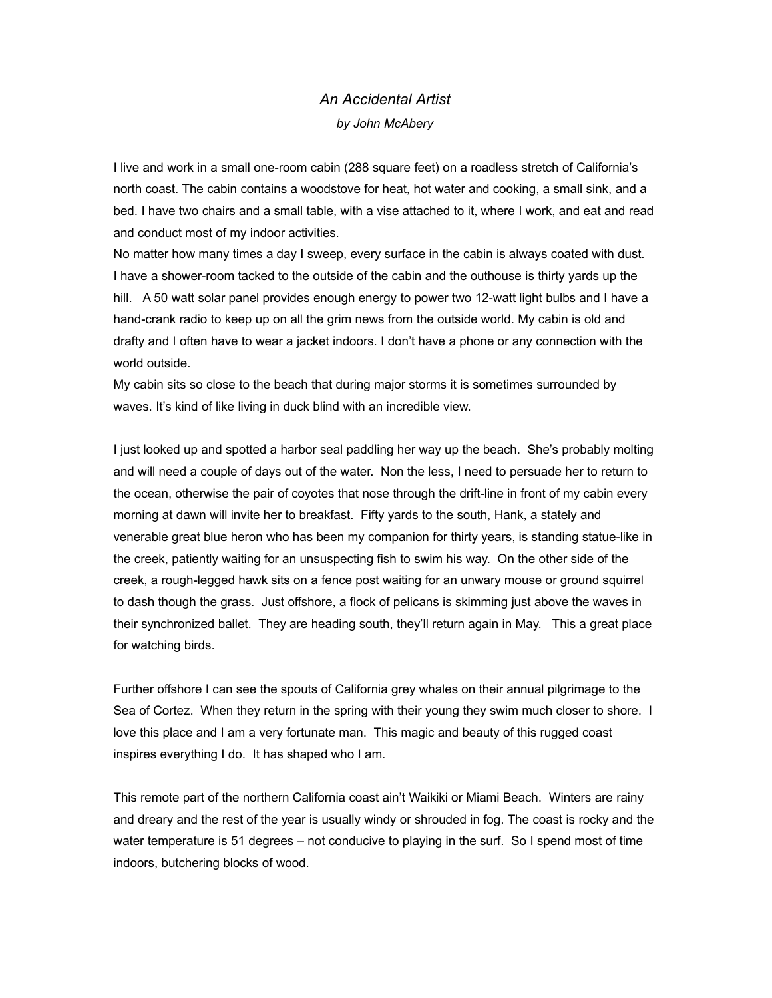## *An Accidental Artist by John McAbery*

I live and work in a small one-room cabin (288 square feet) on a roadless stretch of California's north coast. The cabin contains a woodstove for heat, hot water and cooking, a small sink, and a bed. I have two chairs and a small table, with a vise attached to it, where I work, and eat and read and conduct most of my indoor activities.

No matter how many times a day I sweep, every surface in the cabin is always coated with dust. I have a shower-room tacked to the outside of the cabin and the outhouse is thirty yards up the hill. A 50 watt solar panel provides enough energy to power two 12-watt light bulbs and I have a hand-crank radio to keep up on all the grim news from the outside world. My cabin is old and drafty and I often have to wear a jacket indoors. I don't have a phone or any connection with the world outside.

My cabin sits so close to the beach that during major storms it is sometimes surrounded by waves. It's kind of like living in duck blind with an incredible view.

I just looked up and spotted a harbor seal paddling her way up the beach. She's probably molting and will need a couple of days out of the water. Non the less, I need to persuade her to return to the ocean, otherwise the pair of coyotes that nose through the drift-line in front of my cabin every morning at dawn will invite her to breakfast. Fifty yards to the south, Hank, a stately and venerable great blue heron who has been my companion for thirty years, is standing statue-like in the creek, patiently waiting for an unsuspecting fish to swim his way. On the other side of the creek, a rough-legged hawk sits on a fence post waiting for an unwary mouse or ground squirrel to dash though the grass. Just offshore, a flock of pelicans is skimming just above the waves in their synchronized ballet. They are heading south, they'll return again in May. This a great place for watching birds.

Further offshore I can see the spouts of California grey whales on their annual pilgrimage to the Sea of Cortez. When they return in the spring with their young they swim much closer to shore. I love this place and I am a very fortunate man. This magic and beauty of this rugged coast inspires everything I do. It has shaped who I am.

This remote part of the northern California coast ain't Waikiki or Miami Beach. Winters are rainy and dreary and the rest of the year is usually windy or shrouded in fog. The coast is rocky and the water temperature is 51 degrees – not conducive to playing in the surf. So I spend most of time indoors, butchering blocks of wood.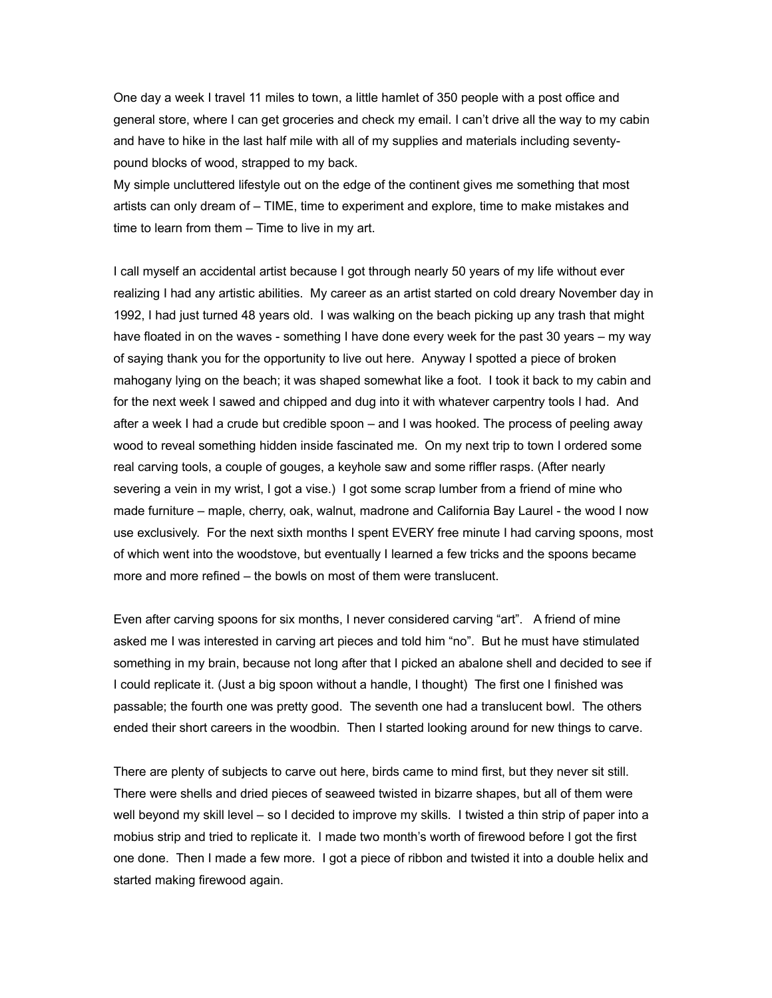One day a week I travel 11 miles to town, a little hamlet of 350 people with a post office and general store, where I can get groceries and check my email. I can't drive all the way to my cabin and have to hike in the last half mile with all of my supplies and materials including seventypound blocks of wood, strapped to my back.

My simple uncluttered lifestyle out on the edge of the continent gives me something that most artists can only dream of – TIME, time to experiment and explore, time to make mistakes and time to learn from them – Time to live in my art.

I call myself an accidental artist because I got through nearly 50 years of my life without ever realizing I had any artistic abilities. My career as an artist started on cold dreary November day in 1992, I had just turned 48 years old. I was walking on the beach picking up any trash that might have floated in on the waves - something I have done every week for the past 30 years – my way of saying thank you for the opportunity to live out here. Anyway I spotted a piece of broken mahogany lying on the beach; it was shaped somewhat like a foot. I took it back to my cabin and for the next week I sawed and chipped and dug into it with whatever carpentry tools I had. And after a week I had a crude but credible spoon – and I was hooked. The process of peeling away wood to reveal something hidden inside fascinated me. On my next trip to town I ordered some real carving tools, a couple of gouges, a keyhole saw and some riffler rasps. (After nearly severing a vein in my wrist, I got a vise.) I got some scrap lumber from a friend of mine who made furniture – maple, cherry, oak, walnut, madrone and California Bay Laurel - the wood I now use exclusively. For the next sixth months I spent EVERY free minute I had carving spoons, most of which went into the woodstove, but eventually I learned a few tricks and the spoons became more and more refined – the bowls on most of them were translucent.

Even after carving spoons for six months, I never considered carving "art". A friend of mine asked me I was interested in carving art pieces and told him "no". But he must have stimulated something in my brain, because not long after that I picked an abalone shell and decided to see if I could replicate it. (Just a big spoon without a handle, I thought) The first one I finished was passable; the fourth one was pretty good. The seventh one had a translucent bowl. The others ended their short careers in the woodbin. Then I started looking around for new things to carve.

There are plenty of subjects to carve out here, birds came to mind first, but they never sit still. There were shells and dried pieces of seaweed twisted in bizarre shapes, but all of them were well beyond my skill level – so I decided to improve my skills. I twisted a thin strip of paper into a mobius strip and tried to replicate it. I made two month's worth of firewood before I got the first one done. Then I made a few more. I got a piece of ribbon and twisted it into a double helix and started making firewood again.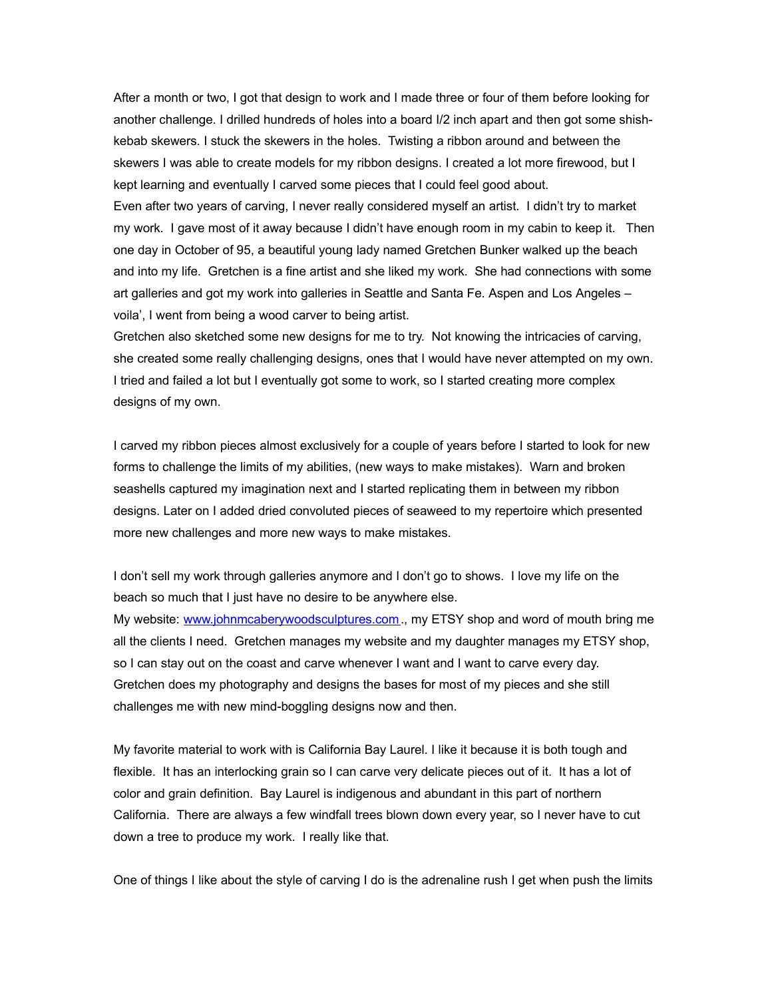After a month or two, I got that design to work and I made three or four of them before looking for another challenge. I drilled hundreds of holes into a board I/2 inch apart and then got some shishkebab skewers. I stuck the skewers in the holes. Twisting a ribbon around and between the skewers I was able to create models for my ribbon designs. I created a lot more firewood, but I kept learning and eventually I carved some pieces that I could feel good about.

Even after two years of carving, I never really considered myself an artist. I didn't try to market my work. I gave most of it away because I didn't have enough room in my cabin to keep it. Then one day in October of 95, a beautiful young lady named Gretchen Bunker walked up the beach and into my life. Gretchen is a fine artist and she liked my work. She had connections with some art galleries and got my work into galleries in Seattle and Santa Fe. Aspen and Los Angeles – voila', I went from being a wood carver to being artist.

Gretchen also sketched some new designs for me to try. Not knowing the intricacies of carving, she created some really challenging designs, ones that I would have never attempted on my own. I tried and failed a lot but I eventually got some to work, so I started creating more complex designs of my own.

I carved my ribbon pieces almost exclusively for a couple of years before I started to look for new forms to challenge the limits of my abilities, (new ways to make mistakes). Warn and broken seashells captured my imagination next and I started replicating them in between my ribbon designs. Later on I added dried convoluted pieces of seaweed to my repertoire which presented more new challenges and more new ways to make mistakes.

I don't sell my work through galleries anymore and I don't go to shows. I love my life on the beach so much that I just have no desire to be anywhere else.

My website: [www.johnmcaberywoodsculptures.com.](http://www.johnmcaberywoodsculptures.com/), my ETSY shop and word of mouth bring me all the clients I need. Gretchen manages my website and my daughter manages my ETSY shop, so I can stay out on the coast and carve whenever I want and I want to carve every day. Gretchen does my photography and designs the bases for most of my pieces and she still challenges me with new mind-boggling designs now and then.

My favorite material to work with is California Bay Laurel. I like it because it is both tough and flexible. It has an interlocking grain so I can carve very delicate pieces out of it. It has a lot of color and grain definition. Bay Laurel is indigenous and abundant in this part of northern California. There are always a few windfall trees blown down every year, so I never have to cut down a tree to produce my work. I really like that.

One of things I like about the style of carving I do is the adrenaline rush I get when push the limits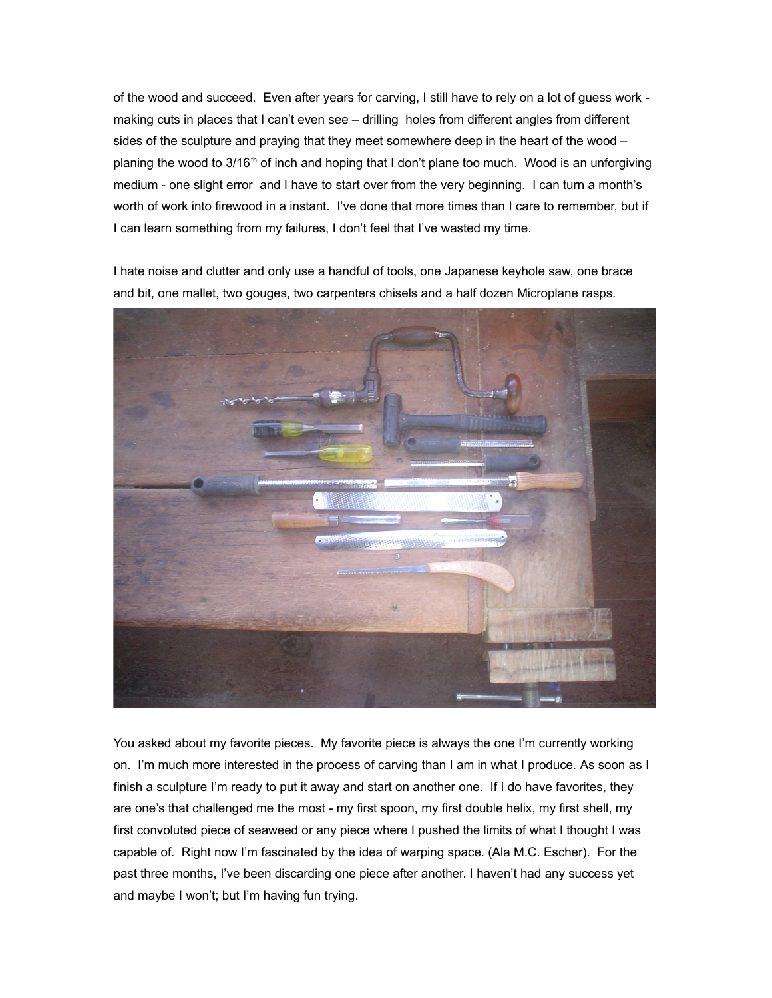of the wood and succeed. Even after years for carving, I still have to rely on a lot of guess work making cuts in places that I can't even see – drilling holes from different angles from different sides of the sculpture and praying that they meet somewhere deep in the heart of the wood – planing the wood to 3/16<sup>th</sup> of inch and hoping that I don't plane too much. Wood is an unforgiving medium - one slight error and I have to start over from the very beginning. I can turn a month's worth of work into firewood in a instant. I've done that more times than I care to remember, but if I can learn something from my failures, I don't feel that I've wasted my time.

I hate noise and clutter and only use a handful of tools, one Japanese keyhole saw, one brace and bit, one mallet, two gouges, two carpenters chisels and a half dozen Microplane rasps.



You asked about my favorite pieces. My favorite piece is always the one I'm currently working on. I'm much more interested in the process of carving than I am in what I produce. As soon as I finish a sculpture I'm ready to put it away and start on another one. If I do have favorites, they are one's that challenged me the most - my first spoon, my first double helix, my first shell, my first convoluted piece of seaweed or any piece where I pushed the limits of what I thought I was capable of. Right now I'm fascinated by the idea of warping space. (Ala M.C. Escher). For the past three months, I've been discarding one piece after another. I haven't had any success yet and maybe I won't; but I'm having fun trying.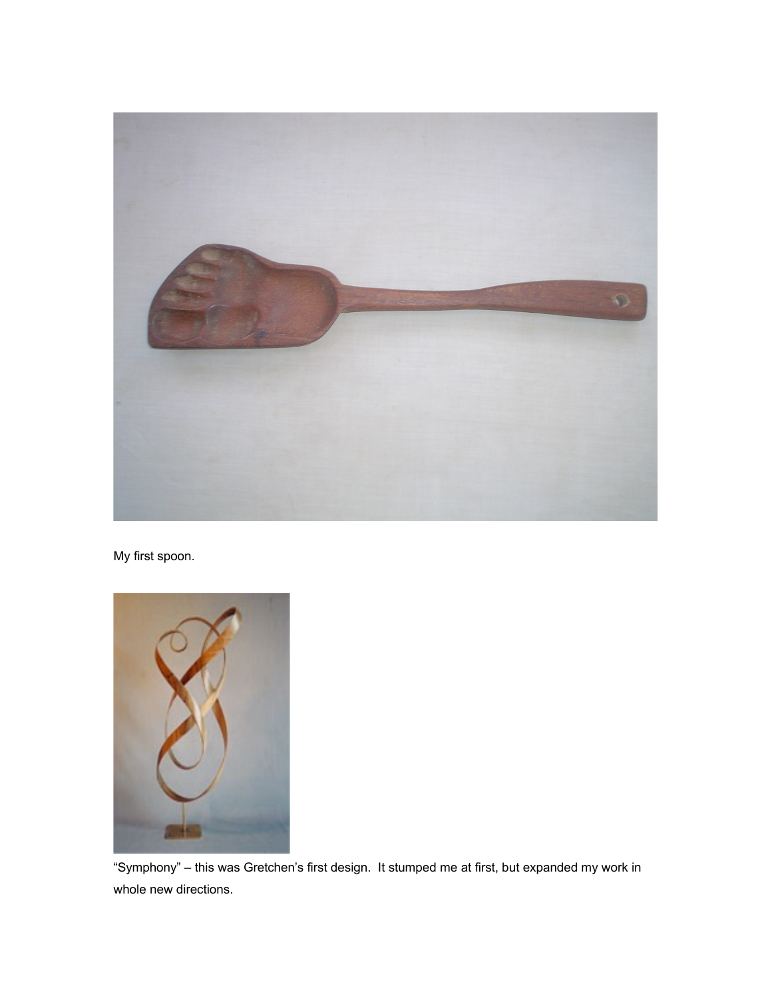

My first spoon.



"Symphony" – this was Gretchen's first design. It stumped me at first, but expanded my work in whole new directions.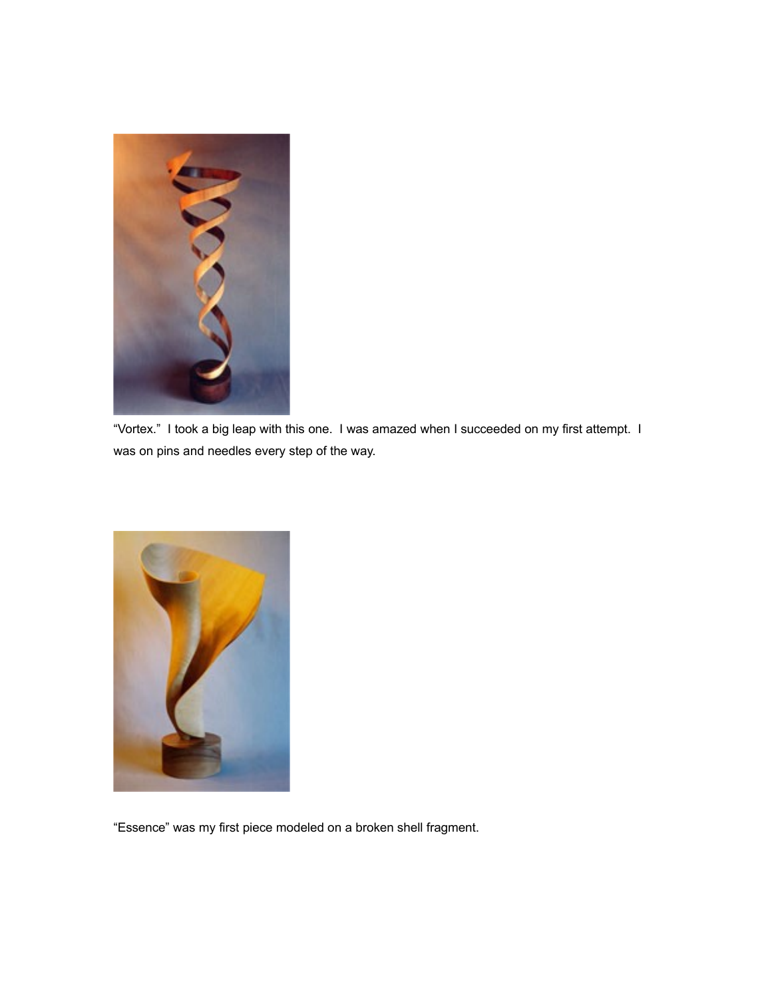

"Vortex." I took a big leap with this one. I was amazed when I succeeded on my first attempt. I was on pins and needles every step of the way.



"Essence" was my first piece modeled on a broken shell fragment.